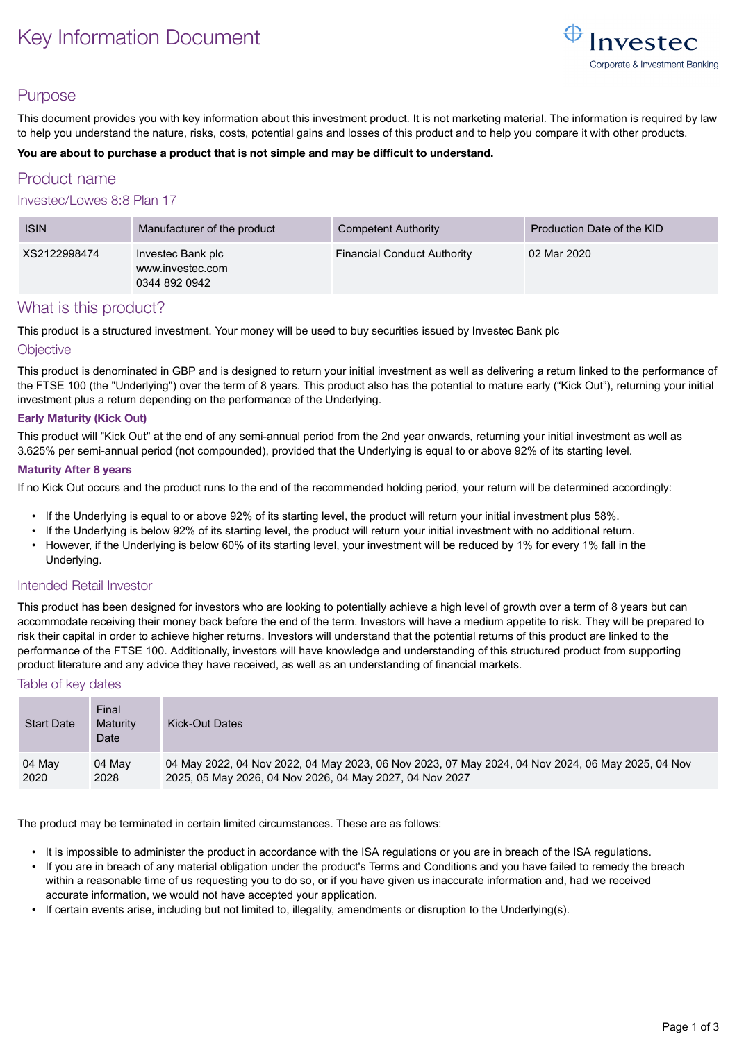# Key Information Document



# Purpose

This document provides you with key information about this investment product. It is not marketing material. The information is required by law to help you understand the nature, risks, costs, potential gains and losses of this product and to help you compare it with other products.

#### **You are about to purchase a product that is not simple and may be difficult to understand.**

# Product name

### Investec/Lowes 8:8 Plan 17

| <b>ISIN</b>  | Manufacturer of the product                            | Competent Authority                | Production Date of the KID |
|--------------|--------------------------------------------------------|------------------------------------|----------------------------|
| XS2122998474 | Investec Bank plc<br>www.investec.com<br>0344 892 0942 | <b>Financial Conduct Authority</b> | 02 Mar 2020                |

# What is this product?

This product is a structured investment. Your money will be used to buy securities issued by Investec Bank plc

#### **Objective**

This product is denominated in GBP and is designed to return your initial investment as well as delivering a return linked to the performance of the FTSE 100 (the "Underlying") over the term of 8 years. This product also has the potential to mature early ("Kick Out"), returning your initial investment plus a return depending on the performance of the Underlying.

#### **Early Maturity (Kick Out)**

This product will "Kick Out" at the end of any semi-annual period from the 2nd year onwards, returning your initial investment as well as 3.625% per semi-annual period (not compounded), provided that the Underlying is equal to or above 92% of its starting level.

#### **Maturity After 8 years**

If no Kick Out occurs and the product runs to the end of the recommended holding period, your return will be determined accordingly:

- If the Underlying is equal to or above 92% of its starting level, the product will return your initial investment plus 58%.
- If the Underlying is below 92% of its starting level, the product will return your initial investment with no additional return.
- However, if the Underlying is below 60% of its starting level, your investment will be reduced by 1% for every 1% fall in the Underlying.

### Intended Retail Investor

This product has been designed for investors who are looking to potentially achieve a high level of growth over a term of 8 years but can accommodate receiving their money back before the end of the term. Investors will have a medium appetite to risk. They will be prepared to risk their capital in order to achieve higher returns. Investors will understand that the potential returns of this product are linked to the performance of the FTSE 100. Additionally, investors will have knowledge and understanding of this structured product from supporting product literature and any advice they have received, as well as an understanding of financial markets.

### Table of key dates

| <b>Start Date</b> | Final<br>Maturity<br>Date | Kick-Out Dates                                                                                    |
|-------------------|---------------------------|---------------------------------------------------------------------------------------------------|
| 04 May            | 04 May                    | 04 May 2022, 04 Nov 2022, 04 May 2023, 06 Nov 2023, 07 May 2024, 04 Nov 2024, 06 May 2025, 04 Nov |
| 2020              | 2028                      | 2025, 05 May 2026, 04 Nov 2026, 04 May 2027, 04 Nov 2027                                          |

The product may be terminated in certain limited circumstances. These are as follows:

- It is impossible to administer the product in accordance with the ISA regulations or you are in breach of the ISA regulations.
- If you are in breach of any material obligation under the product's Terms and Conditions and you have failed to remedy the breach within a reasonable time of us requesting you to do so, or if you have given us inaccurate information and, had we received accurate information, we would not have accepted your application.
- If certain events arise, including but not limited to, illegality, amendments or disruption to the Underlying(s).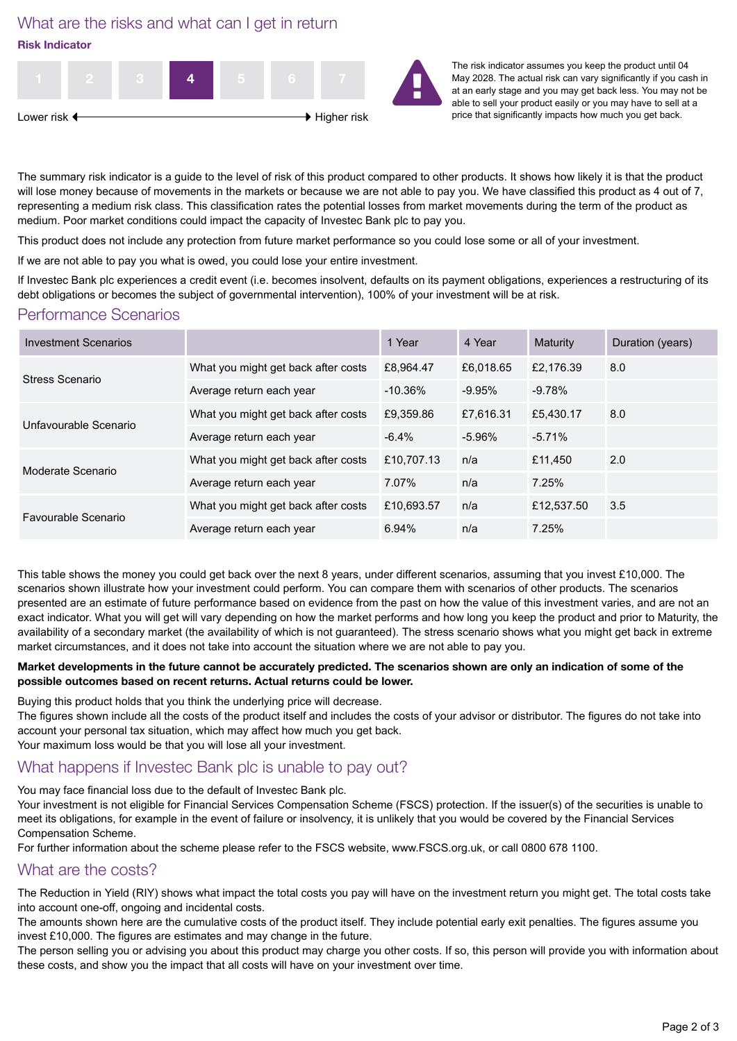What are the risks and what can I get in return **Risk Indicator**



The risk indicator assumes you keep the product until 04 May 2028. The actual risk can vary significantly if you cash in at an early stage and you may get back less. You may not be able to sell your product easily or you may have to sell at a price that significantly impacts how much you get back.

The summary risk indicator is a guide to the level of risk of this product compared to other products. It shows how likely it is that the product will lose money because of movements in the markets or because we are not able to pay you. We have classified this product as 4 out of 7, representing a medium risk class. This classification rates the potential losses from market movements during the term of the product as medium. Poor market conditions could impact the capacity of Investec Bank plc to pay you.

This product does not include any protection from future market performance so you could lose some or all of your investment.

If we are not able to pay you what is owed, you could lose your entire investment.

If Investec Bank plc experiences a credit event (i.e. becomes insolvent, defaults on its payment obligations, experiences a restructuring of its debt obligations or becomes the subject of governmental intervention), 100% of your investment will be at risk.

# Performance Scenarios

| <b>Investment Scenarios</b> |                                     | 1 Year     | 4 Year    | <b>Maturity</b> | Duration (years) |
|-----------------------------|-------------------------------------|------------|-----------|-----------------|------------------|
| Stress Scenario             | What you might get back after costs | £8.964.47  | £6.018.65 | £2.176.39       | 8.0              |
|                             | Average return each year            | $-10.36\%$ | -9.95%    | $-9.78%$        |                  |
| Unfavourable Scenario       | What you might get back after costs | £9,359.86  | £7.616.31 | £5,430.17       | 8.0              |
|                             | Average return each year            | $-6.4%$    | -5.96%    | $-5.71%$        |                  |
| Moderate Scenario           | What you might get back after costs | £10.707.13 | n/a       | £11.450         | 2.0              |
|                             | Average return each year            | 7.07%      | n/a       | 7.25%           |                  |
| Favourable Scenario         | What you might get back after costs | £10,693.57 | n/a       | £12,537.50      | 3.5              |
|                             | Average return each year            | 6.94%      | n/a       | 7.25%           |                  |

This table shows the money you could get back over the next 8 years, under different scenarios, assuming that you invest £10,000. The scenarios shown illustrate how your investment could perform. You can compare them with scenarios of other products. The scenarios presented are an estimate of future performance based on evidence from the past on how the value of this investment varies, and are not an exact indicator. What you will get will vary depending on how the market performs and how long you keep the product and prior to Maturity, the availability of a secondary market (the availability of which is not guaranteed). The stress scenario shows what you might get back in extreme market circumstances, and it does not take into account the situation where we are not able to pay you.

#### **Market developments in the future cannot be accurately predicted. The scenarios shown are only an indication of some of the possible outcomes based on recent returns. Actual returns could be lower.**

Buying this product holds that you think the underlying price will decrease.

The figures shown include all the costs of the product itself and includes the costs of your advisor or distributor. The figures do not take into account your personal tax situation, which may affect how much you get back.

Your maximum loss would be that you will lose all your investment.

# What happens if Investec Bank plc is unable to pay out?

You may face financial loss due to the default of Investec Bank plc.

Your investment is not eligible for Financial Services Compensation Scheme (FSCS) protection. If the issuer(s) of the securities is unable to meet its obligations, for example in the event of failure or insolvency, it is unlikely that you would be covered by the Financial Services Compensation Scheme.

For further information about the scheme please refer to the FSCS website, www.FSCS.org.uk, or call 0800 678 1100.

# What are the costs?

The Reduction in Yield (RIY) shows what impact the total costs you pay will have on the investment return you might get. The total costs take into account one-off, ongoing and incidental costs.

The amounts shown here are the cumulative costs of the product itself. They include potential early exit penalties. The figures assume you invest £10,000. The figures are estimates and may change in the future.

The person selling you or advising you about this product may charge you other costs. If so, this person will provide you with information about these costs, and show you the impact that all costs will have on your investment over time.